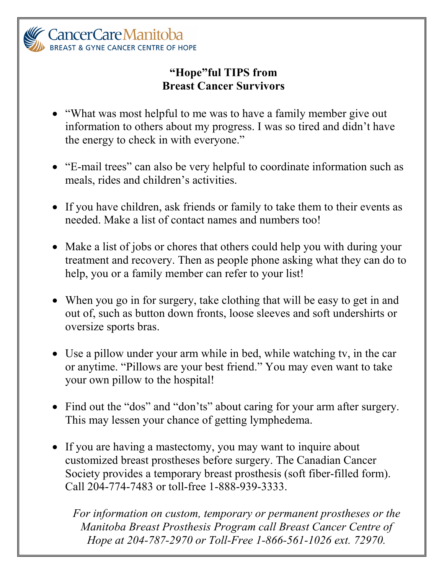

## **"Hope"ful TIPS from Breast Cancer Survivors**

- "What was most helpful to me was to have a family member give out information to others about my progress. I was so tired and didn't have the energy to check in with everyone."
- "E-mail trees" can also be very helpful to coordinate information such as meals, rides and children's activities.
- If you have children, ask friends or family to take them to their events as needed. Make a list of contact names and numbers too!
- Make a list of jobs or chores that others could help you with during your treatment and recovery. Then as people phone asking what they can do to help, you or a family member can refer to your list!
- When you go in for surgery, take clothing that will be easy to get in and out of, such as button down fronts, loose sleeves and soft undershirts or oversize sports bras.
- Use a pillow under your arm while in bed, while watching tv, in the car or anytime. "Pillows are your best friend." You may even want to take your own pillow to the hospital!
- Find out the "dos" and "don'ts" about caring for your arm after surgery. This may lessen your chance of getting lymphedema.
- If you are having a mastectomy, you may want to inquire about customized breast prostheses before surgery. The Canadian Cancer Society provides a temporary breast prosthesis (soft fiber-filled form). Call 204-774-7483 or toll-free 1-888-939-3333.

*For information on custom, temporary or permanent prostheses or the Manitoba Breast Prosthesis Program call Breast Cancer Centre of Hope at 204-787-2970 or Toll-Free 1-866-561-1026 ext. 72970.*